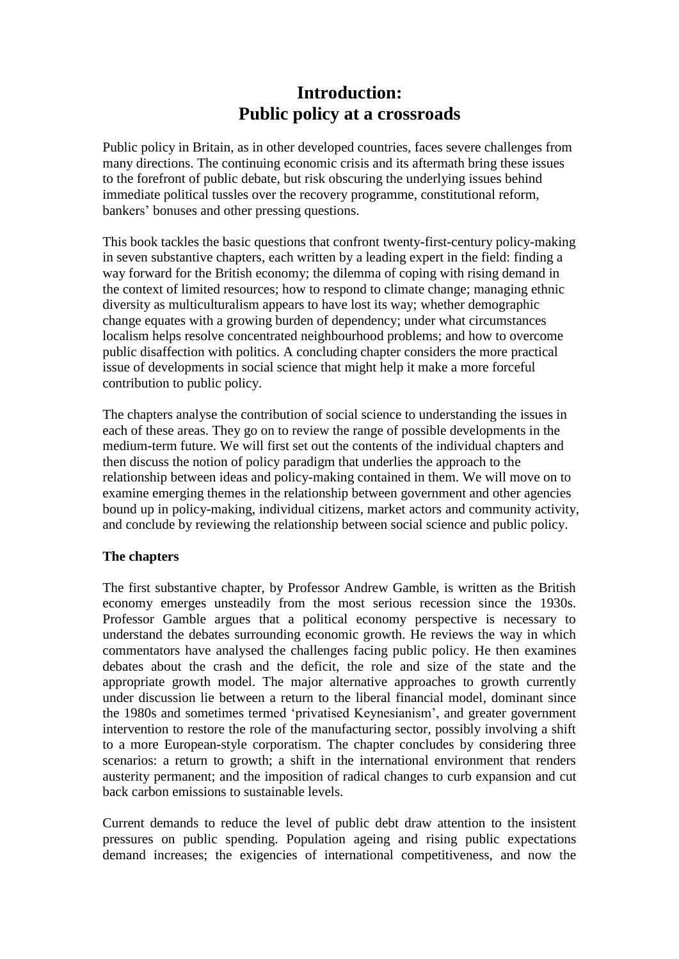# **Introduction: Public policy at a crossroads**

Public policy in Britain, as in other developed countries, faces severe challenges from many directions. The continuing economic crisis and its aftermath bring these issues to the forefront of public debate, but risk obscuring the underlying issues behind immediate political tussles over the recovery programme, constitutional reform, bankers' bonuses and other pressing questions.

This book tackles the basic questions that confront twenty-first-century policy-making in seven substantive chapters, each written by a leading expert in the field: finding a way forward for the British economy; the dilemma of coping with rising demand in the context of limited resources; how to respond to climate change; managing ethnic diversity as multiculturalism appears to have lost its way; whether demographic change equates with a growing burden of dependency; under what circumstances localism helps resolve concentrated neighbourhood problems; and how to overcome public disaffection with politics. A concluding chapter considers the more practical issue of developments in social science that might help it make a more forceful contribution to public policy.

The chapters analyse the contribution of social science to understanding the issues in each of these areas. They go on to review the range of possible developments in the medium-term future. We will first set out the contents of the individual chapters and then discuss the notion of policy paradigm that underlies the approach to the relationship between ideas and policy-making contained in them. We will move on to examine emerging themes in the relationship between government and other agencies bound up in policy-making, individual citizens, market actors and community activity, and conclude by reviewing the relationship between social science and public policy.

# **The chapters**

The first substantive chapter, by Professor Andrew Gamble, is written as the British economy emerges unsteadily from the most serious recession since the 1930s. Professor Gamble argues that a political economy perspective is necessary to understand the debates surrounding economic growth. He reviews the way in which commentators have analysed the challenges facing public policy. He then examines debates about the crash and the deficit, the role and size of the state and the appropriate growth model. The major alternative approaches to growth currently under discussion lie between a return to the liberal financial model, dominant since the 1980s and sometimes termed 'privatised Keynesianism', and greater government intervention to restore the role of the manufacturing sector, possibly involving a shift to a more European-style corporatism. The chapter concludes by considering three scenarios: a return to growth; a shift in the international environment that renders austerity permanent; and the imposition of radical changes to curb expansion and cut back carbon emissions to sustainable levels.

Current demands to reduce the level of public debt draw attention to the insistent pressures on public spending. Population ageing and rising public expectations demand increases; the exigencies of international competitiveness, and now the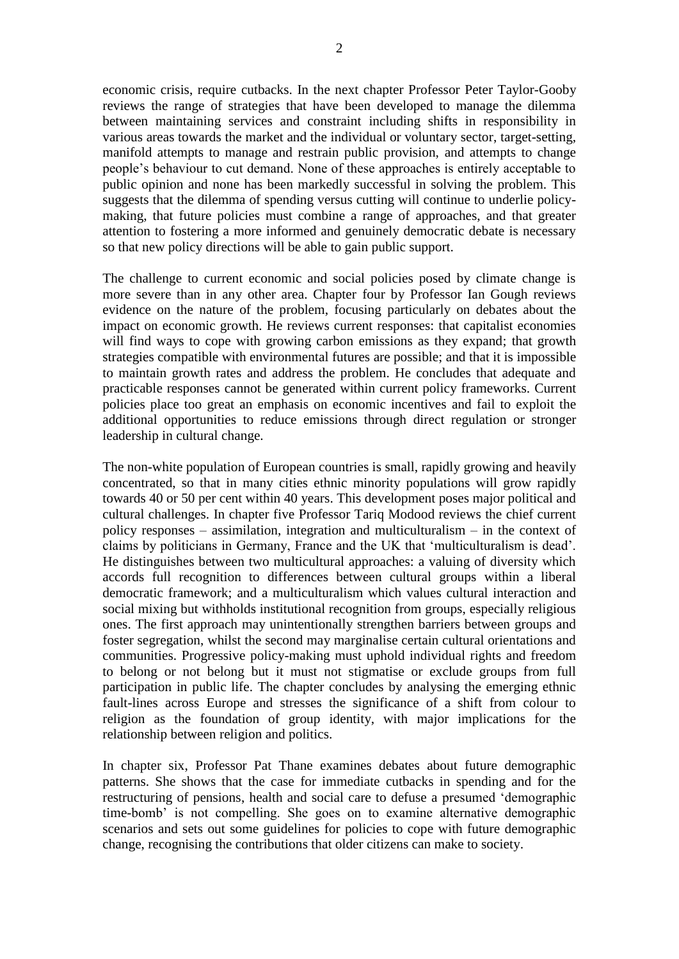economic crisis, require cutbacks. In the next chapter Professor Peter Taylor-Gooby reviews the range of strategies that have been developed to manage the dilemma between maintaining services and constraint including shifts in responsibility in various areas towards the market and the individual or voluntary sector, target-setting, manifold attempts to manage and restrain public provision, and attempts to change people's behaviour to cut demand. None of these approaches is entirely acceptable to public opinion and none has been markedly successful in solving the problem. This suggests that the dilemma of spending versus cutting will continue to underlie policymaking, that future policies must combine a range of approaches, and that greater attention to fostering a more informed and genuinely democratic debate is necessary so that new policy directions will be able to gain public support.

The challenge to current economic and social policies posed by climate change is more severe than in any other area. Chapter four by Professor Ian Gough reviews evidence on the nature of the problem, focusing particularly on debates about the impact on economic growth. He reviews current responses: that capitalist economies will find ways to cope with growing carbon emissions as they expand; that growth strategies compatible with environmental futures are possible; and that it is impossible to maintain growth rates and address the problem. He concludes that adequate and practicable responses cannot be generated within current policy frameworks. Current policies place too great an emphasis on economic incentives and fail to exploit the additional opportunities to reduce emissions through direct regulation or stronger leadership in cultural change.

The non-white population of European countries is small, rapidly growing and heavily concentrated, so that in many cities ethnic minority populations will grow rapidly towards 40 or 50 per cent within 40 years. This development poses major political and cultural challenges. In chapter five Professor Tariq Modood reviews the chief current policy responses – assimilation, integration and multiculturalism – in the context of claims by politicians in Germany, France and the UK that 'multiculturalism is dead'. He distinguishes between two multicultural approaches: a valuing of diversity which accords full recognition to differences between cultural groups within a liberal democratic framework; and a multiculturalism which values cultural interaction and social mixing but withholds institutional recognition from groups, especially religious ones. The first approach may unintentionally strengthen barriers between groups and foster segregation, whilst the second may marginalise certain cultural orientations and communities. Progressive policy-making must uphold individual rights and freedom to belong or not belong but it must not stigmatise or exclude groups from full participation in public life. The chapter concludes by analysing the emerging ethnic fault-lines across Europe and stresses the significance of a shift from colour to religion as the foundation of group identity, with major implications for the relationship between religion and politics.

In chapter six, Professor Pat Thane examines debates about future demographic patterns. She shows that the case for immediate cutbacks in spending and for the restructuring of pensions, health and social care to defuse a presumed 'demographic time-bomb' is not compelling. She goes on to examine alternative demographic scenarios and sets out some guidelines for policies to cope with future demographic change, recognising the contributions that older citizens can make to society.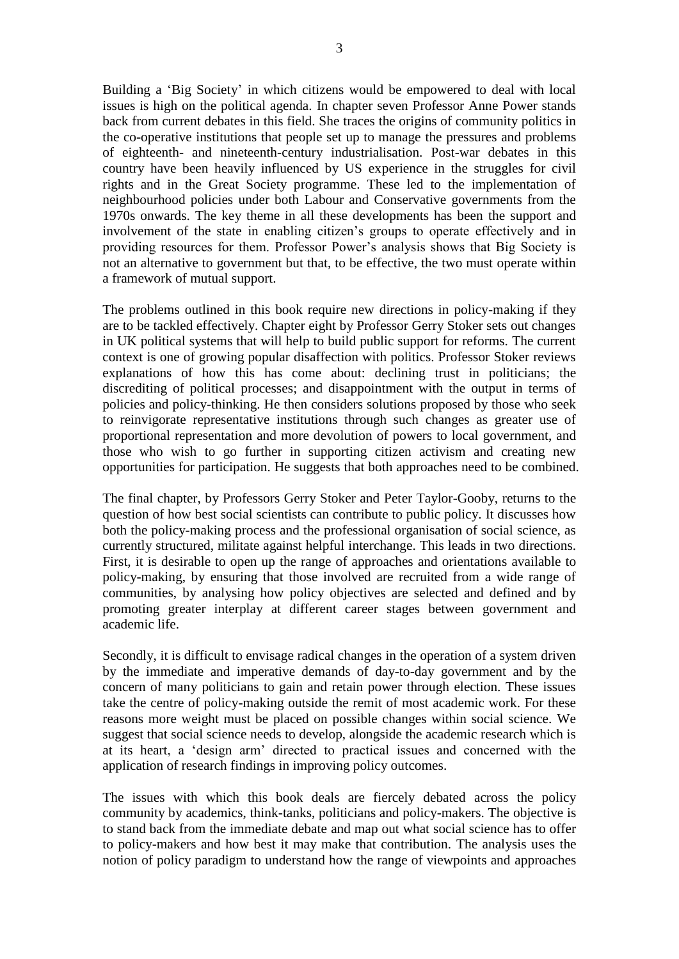Building a 'Big Society' in which citizens would be empowered to deal with local issues is high on the political agenda. In chapter seven Professor Anne Power stands back from current debates in this field. She traces the origins of community politics in the co-operative institutions that people set up to manage the pressures and problems of eighteenth- and nineteenth-century industrialisation. Post-war debates in this country have been heavily influenced by US experience in the struggles for civil rights and in the Great Society programme. These led to the implementation of neighbourhood policies under both Labour and Conservative governments from the 1970s onwards. The key theme in all these developments has been the support and involvement of the state in enabling citizen's groups to operate effectively and in providing resources for them. Professor Power's analysis shows that Big Society is not an alternative to government but that, to be effective, the two must operate within a framework of mutual support.

The problems outlined in this book require new directions in policy-making if they are to be tackled effectively. Chapter eight by Professor Gerry Stoker sets out changes in UK political systems that will help to build public support for reforms. The current context is one of growing popular disaffection with politics. Professor Stoker reviews explanations of how this has come about: declining trust in politicians; the discrediting of political processes; and disappointment with the output in terms of policies and policy-thinking. He then considers solutions proposed by those who seek to reinvigorate representative institutions through such changes as greater use of proportional representation and more devolution of powers to local government, and those who wish to go further in supporting citizen activism and creating new opportunities for participation. He suggests that both approaches need to be combined.

The final chapter, by Professors Gerry Stoker and Peter Taylor-Gooby, returns to the question of how best social scientists can contribute to public policy. It discusses how both the policy-making process and the professional organisation of social science, as currently structured, militate against helpful interchange. This leads in two directions. First, it is desirable to open up the range of approaches and orientations available to policy-making, by ensuring that those involved are recruited from a wide range of communities, by analysing how policy objectives are selected and defined and by promoting greater interplay at different career stages between government and academic life.

Secondly, it is difficult to envisage radical changes in the operation of a system driven by the immediate and imperative demands of day-to-day government and by the concern of many politicians to gain and retain power through election. These issues take the centre of policy-making outside the remit of most academic work. For these reasons more weight must be placed on possible changes within social science. We suggest that social science needs to develop, alongside the academic research which is at its heart, a 'design arm' directed to practical issues and concerned with the application of research findings in improving policy outcomes.

The issues with which this book deals are fiercely debated across the policy community by academics, think-tanks, politicians and policy-makers. The objective is to stand back from the immediate debate and map out what social science has to offer to policy-makers and how best it may make that contribution. The analysis uses the notion of policy paradigm to understand how the range of viewpoints and approaches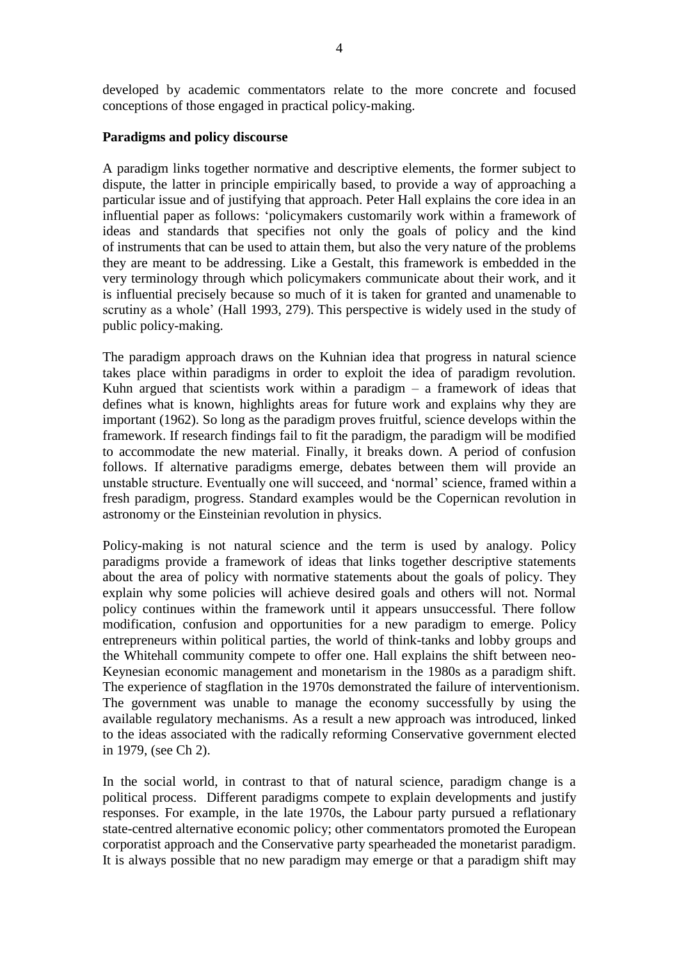developed by academic commentators relate to the more concrete and focused conceptions of those engaged in practical policy-making.

## **Paradigms and policy discourse**

A paradigm links together normative and descriptive elements, the former subject to dispute, the latter in principle empirically based, to provide a way of approaching a particular issue and of justifying that approach. Peter Hall explains the core idea in an influential paper as follows: 'policymakers customarily work within a framework of ideas and standards that specifies not only the goals of policy and the kind of instruments that can be used to attain them, but also the very nature of the problems they are meant to be addressing. Like a Gestalt, this framework is embedded in the very terminology through which policymakers communicate about their work, and it is influential precisely because so much of it is taken for granted and unamenable to scrutiny as a whole' (Hall 1993, 279). This perspective is widely used in the study of public policy-making.

The paradigm approach draws on the Kuhnian idea that progress in natural science takes place within paradigms in order to exploit the idea of paradigm revolution. Kuhn argued that scientists work within a paradigm  $-$  a framework of ideas that defines what is known, highlights areas for future work and explains why they are important (1962). So long as the paradigm proves fruitful, science develops within the framework. If research findings fail to fit the paradigm, the paradigm will be modified to accommodate the new material. Finally, it breaks down. A period of confusion follows. If alternative paradigms emerge, debates between them will provide an unstable structure. Eventually one will succeed, and 'normal' science, framed within a fresh paradigm, progress. Standard examples would be the Copernican revolution in astronomy or the Einsteinian revolution in physics.

Policy-making is not natural science and the term is used by analogy. Policy paradigms provide a framework of ideas that links together descriptive statements about the area of policy with normative statements about the goals of policy. They explain why some policies will achieve desired goals and others will not. Normal policy continues within the framework until it appears unsuccessful. There follow modification, confusion and opportunities for a new paradigm to emerge. Policy entrepreneurs within political parties, the world of think-tanks and lobby groups and the Whitehall community compete to offer one. Hall explains the shift between neo-Keynesian economic management and monetarism in the 1980s as a paradigm shift. The experience of stagflation in the 1970s demonstrated the failure of interventionism. The government was unable to manage the economy successfully by using the available regulatory mechanisms. As a result a new approach was introduced, linked to the ideas associated with the radically reforming Conservative government elected in 1979, (see Ch 2).

In the social world, in contrast to that of natural science, paradigm change is a political process. Different paradigms compete to explain developments and justify responses. For example, in the late 1970s, the Labour party pursued a reflationary state-centred alternative economic policy; other commentators promoted the European corporatist approach and the Conservative party spearheaded the monetarist paradigm. It is always possible that no new paradigm may emerge or that a paradigm shift may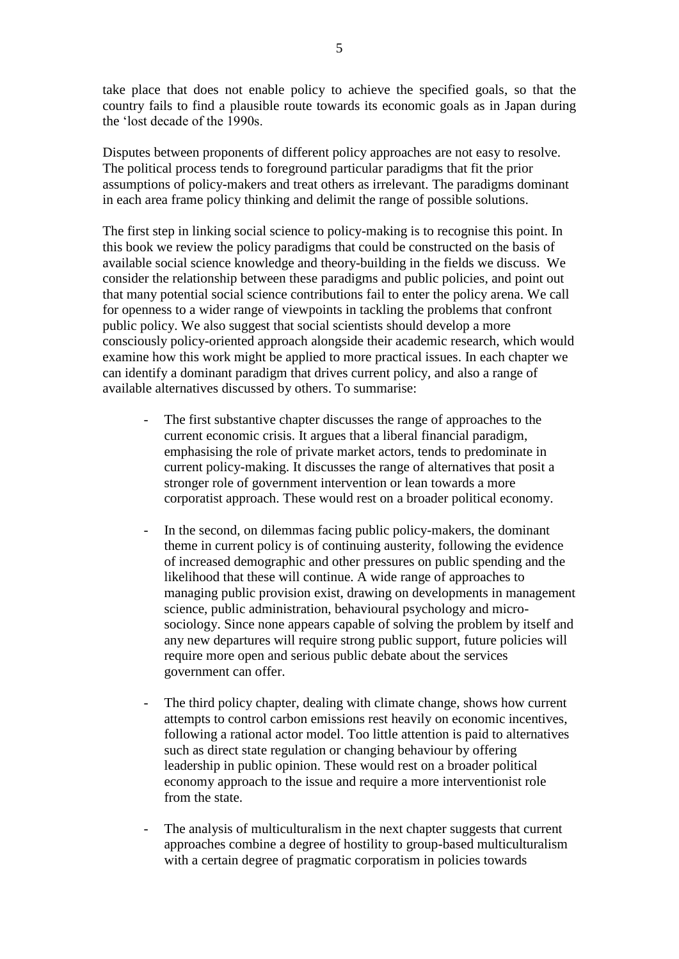take place that does not enable policy to achieve the specified goals, so that the country fails to find a plausible route towards its economic goals as in Japan during the 'lost decade of the 1990s.

Disputes between proponents of different policy approaches are not easy to resolve. The political process tends to foreground particular paradigms that fit the prior assumptions of policy-makers and treat others as irrelevant. The paradigms dominant in each area frame policy thinking and delimit the range of possible solutions.

The first step in linking social science to policy-making is to recognise this point. In this book we review the policy paradigms that could be constructed on the basis of available social science knowledge and theory-building in the fields we discuss. We consider the relationship between these paradigms and public policies, and point out that many potential social science contributions fail to enter the policy arena. We call for openness to a wider range of viewpoints in tackling the problems that confront public policy. We also suggest that social scientists should develop a more consciously policy-oriented approach alongside their academic research, which would examine how this work might be applied to more practical issues. In each chapter we can identify a dominant paradigm that drives current policy, and also a range of available alternatives discussed by others. To summarise:

- The first substantive chapter discusses the range of approaches to the current economic crisis. It argues that a liberal financial paradigm, emphasising the role of private market actors, tends to predominate in current policy-making. It discusses the range of alternatives that posit a stronger role of government intervention or lean towards a more corporatist approach. These would rest on a broader political economy.
- In the second, on dilemmas facing public policy-makers, the dominant theme in current policy is of continuing austerity, following the evidence of increased demographic and other pressures on public spending and the likelihood that these will continue. A wide range of approaches to managing public provision exist, drawing on developments in management science, public administration, behavioural psychology and microsociology. Since none appears capable of solving the problem by itself and any new departures will require strong public support, future policies will require more open and serious public debate about the services government can offer.
- The third policy chapter, dealing with climate change, shows how current attempts to control carbon emissions rest heavily on economic incentives, following a rational actor model. Too little attention is paid to alternatives such as direct state regulation or changing behaviour by offering leadership in public opinion. These would rest on a broader political economy approach to the issue and require a more interventionist role from the state.
- The analysis of multiculturalism in the next chapter suggests that current approaches combine a degree of hostility to group-based multiculturalism with a certain degree of pragmatic corporatism in policies towards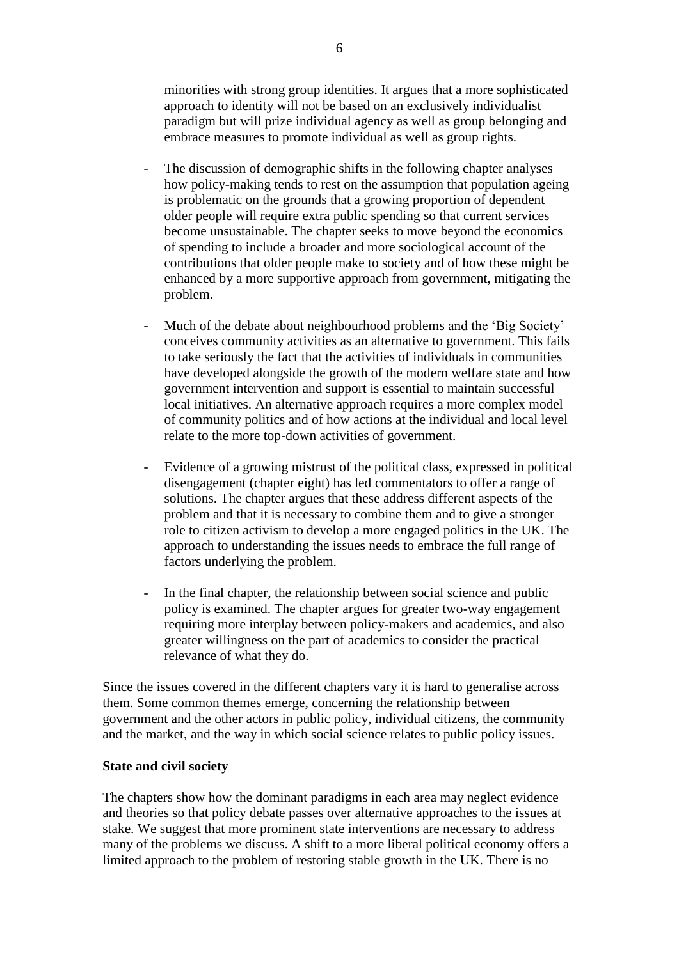minorities with strong group identities. It argues that a more sophisticated approach to identity will not be based on an exclusively individualist paradigm but will prize individual agency as well as group belonging and embrace measures to promote individual as well as group rights.

- The discussion of demographic shifts in the following chapter analyses how policy-making tends to rest on the assumption that population ageing is problematic on the grounds that a growing proportion of dependent older people will require extra public spending so that current services become unsustainable. The chapter seeks to move beyond the economics of spending to include a broader and more sociological account of the contributions that older people make to society and of how these might be enhanced by a more supportive approach from government, mitigating the problem.
- Much of the debate about neighbourhood problems and the 'Big Society' conceives community activities as an alternative to government. This fails to take seriously the fact that the activities of individuals in communities have developed alongside the growth of the modern welfare state and how government intervention and support is essential to maintain successful local initiatives. An alternative approach requires a more complex model of community politics and of how actions at the individual and local level relate to the more top-down activities of government.
- Evidence of a growing mistrust of the political class, expressed in political disengagement (chapter eight) has led commentators to offer a range of solutions. The chapter argues that these address different aspects of the problem and that it is necessary to combine them and to give a stronger role to citizen activism to develop a more engaged politics in the UK. The approach to understanding the issues needs to embrace the full range of factors underlying the problem.
- In the final chapter, the relationship between social science and public policy is examined. The chapter argues for greater two-way engagement requiring more interplay between policy-makers and academics, and also greater willingness on the part of academics to consider the practical relevance of what they do.

Since the issues covered in the different chapters vary it is hard to generalise across them. Some common themes emerge, concerning the relationship between government and the other actors in public policy, individual citizens, the community and the market, and the way in which social science relates to public policy issues.

#### **State and civil society**

The chapters show how the dominant paradigms in each area may neglect evidence and theories so that policy debate passes over alternative approaches to the issues at stake. We suggest that more prominent state interventions are necessary to address many of the problems we discuss. A shift to a more liberal political economy offers a limited approach to the problem of restoring stable growth in the UK. There is no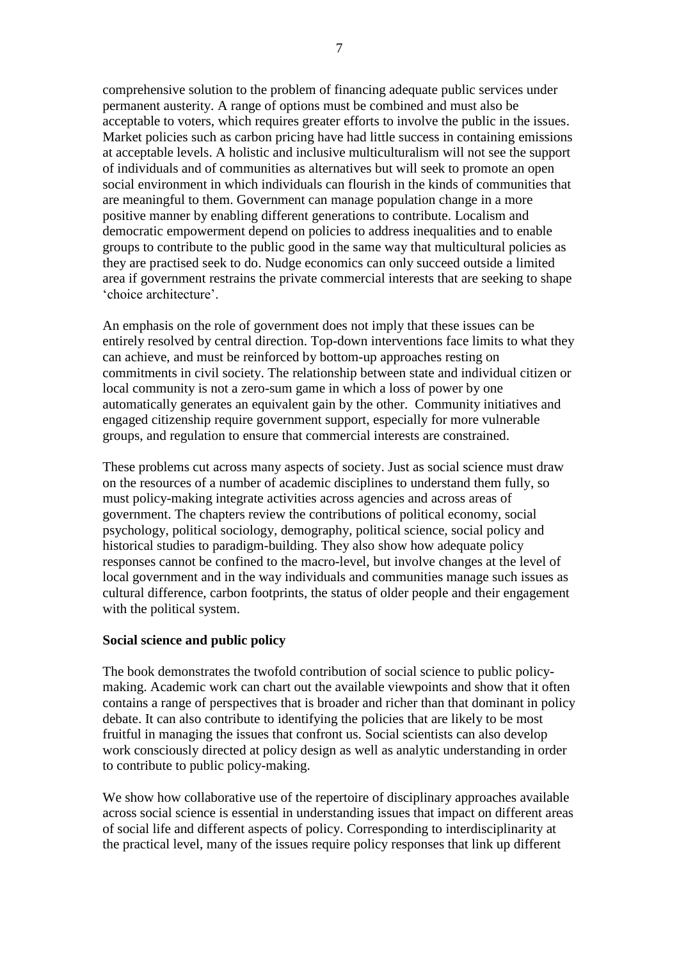comprehensive solution to the problem of financing adequate public services under permanent austerity. A range of options must be combined and must also be acceptable to voters, which requires greater efforts to involve the public in the issues. Market policies such as carbon pricing have had little success in containing emissions at acceptable levels. A holistic and inclusive multiculturalism will not see the support of individuals and of communities as alternatives but will seek to promote an open social environment in which individuals can flourish in the kinds of communities that are meaningful to them. Government can manage population change in a more positive manner by enabling different generations to contribute. Localism and democratic empowerment depend on policies to address inequalities and to enable groups to contribute to the public good in the same way that multicultural policies as they are practised seek to do. Nudge economics can only succeed outside a limited area if government restrains the private commercial interests that are seeking to shape 'choice architecture'.

An emphasis on the role of government does not imply that these issues can be entirely resolved by central direction. Top-down interventions face limits to what they can achieve, and must be reinforced by bottom-up approaches resting on commitments in civil society. The relationship between state and individual citizen or local community is not a zero-sum game in which a loss of power by one automatically generates an equivalent gain by the other. Community initiatives and engaged citizenship require government support, especially for more vulnerable groups, and regulation to ensure that commercial interests are constrained.

These problems cut across many aspects of society. Just as social science must draw on the resources of a number of academic disciplines to understand them fully, so must policy-making integrate activities across agencies and across areas of government. The chapters review the contributions of political economy, social psychology, political sociology, demography, political science, social policy and historical studies to paradigm-building. They also show how adequate policy responses cannot be confined to the macro-level, but involve changes at the level of local government and in the way individuals and communities manage such issues as cultural difference, carbon footprints, the status of older people and their engagement with the political system.

#### **Social science and public policy**

The book demonstrates the twofold contribution of social science to public policymaking. Academic work can chart out the available viewpoints and show that it often contains a range of perspectives that is broader and richer than that dominant in policy debate. It can also contribute to identifying the policies that are likely to be most fruitful in managing the issues that confront us. Social scientists can also develop work consciously directed at policy design as well as analytic understanding in order to contribute to public policy-making.

We show how collaborative use of the repertoire of disciplinary approaches available across social science is essential in understanding issues that impact on different areas of social life and different aspects of policy. Corresponding to interdisciplinarity at the practical level, many of the issues require policy responses that link up different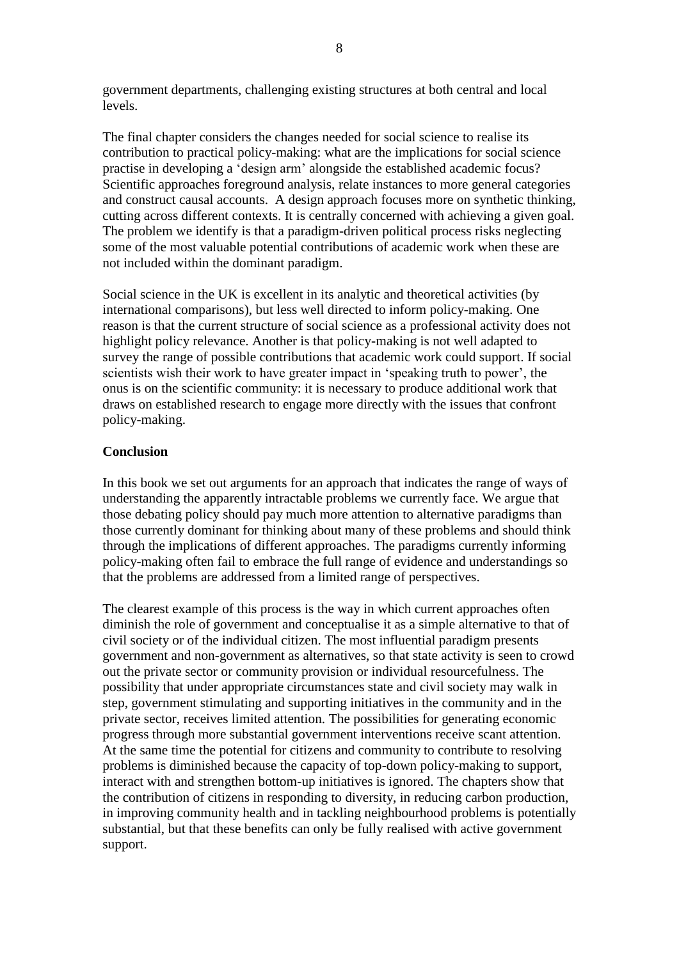government departments, challenging existing structures at both central and local levels.

The final chapter considers the changes needed for social science to realise its contribution to practical policy-making: what are the implications for social science practise in developing a 'design arm' alongside the established academic focus? Scientific approaches foreground analysis, relate instances to more general categories and construct causal accounts. A design approach focuses more on synthetic thinking, cutting across different contexts. It is centrally concerned with achieving a given goal. The problem we identify is that a paradigm-driven political process risks neglecting some of the most valuable potential contributions of academic work when these are not included within the dominant paradigm.

Social science in the UK is excellent in its analytic and theoretical activities (by international comparisons), but less well directed to inform policy-making. One reason is that the current structure of social science as a professional activity does not highlight policy relevance. Another is that policy-making is not well adapted to survey the range of possible contributions that academic work could support. If social scientists wish their work to have greater impact in 'speaking truth to power', the onus is on the scientific community: it is necessary to produce additional work that draws on established research to engage more directly with the issues that confront policy-making.

### **Conclusion**

In this book we set out arguments for an approach that indicates the range of ways of understanding the apparently intractable problems we currently face. We argue that those debating policy should pay much more attention to alternative paradigms than those currently dominant for thinking about many of these problems and should think through the implications of different approaches. The paradigms currently informing policy-making often fail to embrace the full range of evidence and understandings so that the problems are addressed from a limited range of perspectives.

The clearest example of this process is the way in which current approaches often diminish the role of government and conceptualise it as a simple alternative to that of civil society or of the individual citizen. The most influential paradigm presents government and non-government as alternatives, so that state activity is seen to crowd out the private sector or community provision or individual resourcefulness. The possibility that under appropriate circumstances state and civil society may walk in step, government stimulating and supporting initiatives in the community and in the private sector, receives limited attention. The possibilities for generating economic progress through more substantial government interventions receive scant attention. At the same time the potential for citizens and community to contribute to resolving problems is diminished because the capacity of top-down policy-making to support, interact with and strengthen bottom-up initiatives is ignored. The chapters show that the contribution of citizens in responding to diversity, in reducing carbon production, in improving community health and in tackling neighbourhood problems is potentially substantial, but that these benefits can only be fully realised with active government support.